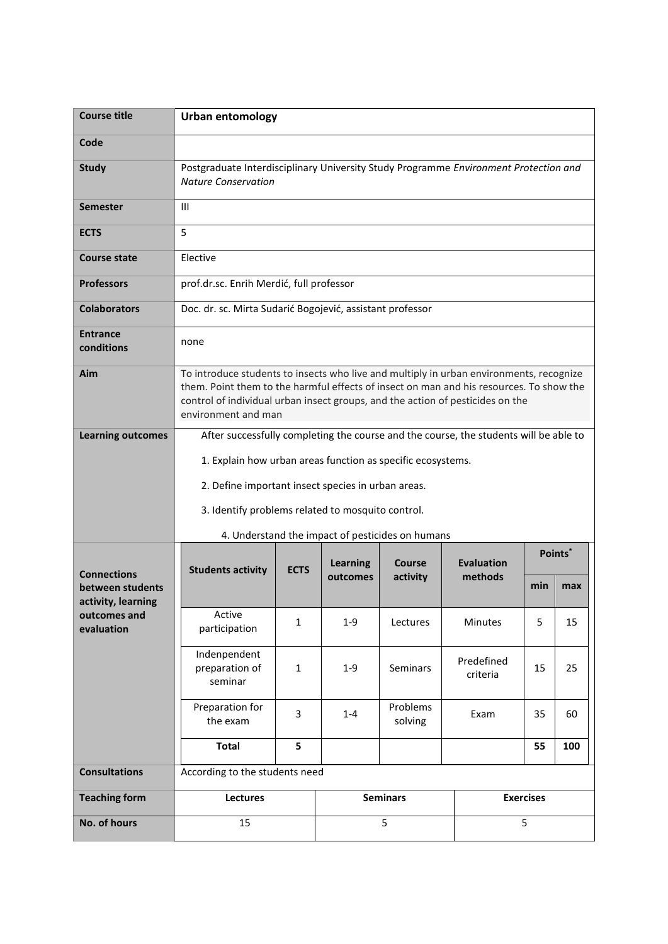| <b>Course title</b>                                          | <b>Urban entomology</b>                                                                                                                                                                                                                                                                     |              |                             |                     |                              |                     |     |  |
|--------------------------------------------------------------|---------------------------------------------------------------------------------------------------------------------------------------------------------------------------------------------------------------------------------------------------------------------------------------------|--------------|-----------------------------|---------------------|------------------------------|---------------------|-----|--|
| Code                                                         |                                                                                                                                                                                                                                                                                             |              |                             |                     |                              |                     |     |  |
| <b>Study</b>                                                 | Postgraduate Interdisciplinary University Study Programme Environment Protection and<br><b>Nature Conservation</b>                                                                                                                                                                          |              |                             |                     |                              |                     |     |  |
| Semester                                                     | III                                                                                                                                                                                                                                                                                         |              |                             |                     |                              |                     |     |  |
| <b>ECTS</b>                                                  | 5                                                                                                                                                                                                                                                                                           |              |                             |                     |                              |                     |     |  |
| <b>Course state</b>                                          | Elective                                                                                                                                                                                                                                                                                    |              |                             |                     |                              |                     |     |  |
| <b>Professors</b>                                            | prof.dr.sc. Enrih Merdić, full professor                                                                                                                                                                                                                                                    |              |                             |                     |                              |                     |     |  |
| <b>Colaborators</b>                                          | Doc. dr. sc. Mirta Sudarić Bogojević, assistant professor                                                                                                                                                                                                                                   |              |                             |                     |                              |                     |     |  |
| <b>Entrance</b><br>conditions                                | none                                                                                                                                                                                                                                                                                        |              |                             |                     |                              |                     |     |  |
| Aim                                                          | To introduce students to insects who live and multiply in urban environments, recognize<br>them. Point them to the harmful effects of insect on man and his resources. To show the<br>control of individual urban insect groups, and the action of pesticides on the<br>environment and man |              |                             |                     |                              |                     |     |  |
| <b>Learning outcomes</b>                                     | After successfully completing the course and the course, the students will be able to                                                                                                                                                                                                       |              |                             |                     |                              |                     |     |  |
|                                                              | 1. Explain how urban areas function as specific ecosystems.                                                                                                                                                                                                                                 |              |                             |                     |                              |                     |     |  |
|                                                              | 2. Define important insect species in urban areas.                                                                                                                                                                                                                                          |              |                             |                     |                              |                     |     |  |
|                                                              | 3. Identify problems related to mosquito control.                                                                                                                                                                                                                                           |              |                             |                     |                              |                     |     |  |
|                                                              | 4. Understand the impact of pesticides on humans                                                                                                                                                                                                                                            |              |                             |                     |                              |                     |     |  |
| <b>Connections</b><br>between students<br>activity, learning | <b>Students activity</b>                                                                                                                                                                                                                                                                    | <b>ECTS</b>  | <b>Learning</b><br>outcomes | Course<br>activity  | <b>Evaluation</b><br>methods | Points <sup>*</sup> |     |  |
|                                                              |                                                                                                                                                                                                                                                                                             |              |                             |                     |                              | min                 | max |  |
| outcomes and<br>evaluation                                   | Active<br>participation                                                                                                                                                                                                                                                                     | $\mathbf{1}$ | $1 - 9$                     | Lectures            | Minutes                      | 5                   | 15  |  |
|                                                              | Indenpendent<br>preparation of<br>seminar                                                                                                                                                                                                                                                   | $\mathbf{1}$ | $1-9$                       | Seminars            | Predefined<br>criteria       | 15                  | 25  |  |
|                                                              | Preparation for<br>the exam                                                                                                                                                                                                                                                                 | 3            | $1 - 4$                     | Problems<br>solving | Exam                         | 35                  | 60  |  |
|                                                              | <b>Total</b>                                                                                                                                                                                                                                                                                | 5            |                             |                     |                              | 55                  | 100 |  |
| <b>Consultations</b>                                         | According to the students need                                                                                                                                                                                                                                                              |              |                             |                     |                              |                     |     |  |
| <b>Teaching form</b>                                         | Lectures                                                                                                                                                                                                                                                                                    |              |                             | <b>Seminars</b>     |                              | <b>Exercises</b>    |     |  |
| No. of hours                                                 | 15                                                                                                                                                                                                                                                                                          |              | 5                           |                     | 5                            |                     |     |  |